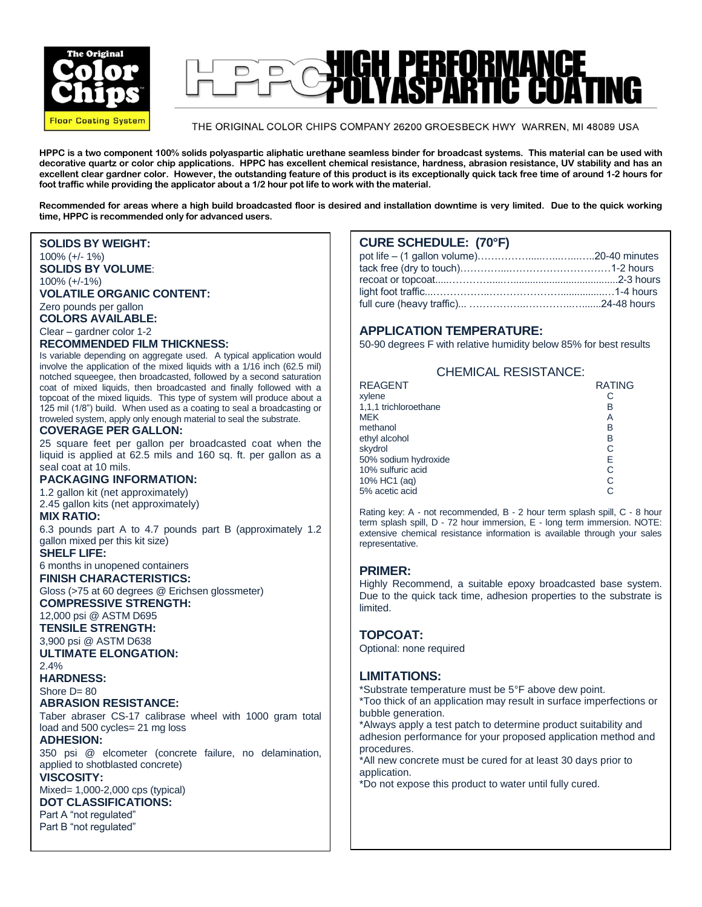

# GH PERFORMANCE<br>ILVASPARTIC COAT  $\Box$

#### THE ORIGINAL COLOR CHIPS COMPANY 26200 GROESBECK HWY WARREN, MI 48089 USA

**HPPC is a two component 100% solids polyaspartic aliphatic urethane seamless binder for broadcast systems. This material can be used with decorative quartz or color chip applications. HPPC has excellent chemical resistance, hardness, abrasion resistance, UV stability and has an excellent clear gardner color. However, the outstanding feature of this product is its exceptionally quick tack free time of around 1-2 hours for foot traffic while providing the applicator about a 1/2 hour pot life to work with the material.** 

**Recommended for areas where a high build broadcasted floor is desired and installation downtime is very limited. Due to the quick working time, HPPC is recommended only for advanced users.** 

#### **SOLIDS BY WEIGHT:**

#### 100% (+/- 1%)

**SOLIDS BY VOLUME**:

100% (+/-1%)

#### **VOLATILE ORGANIC CONTENT:**

Zero pounds per gallon

**COLORS AVAILABLE:**

## Clear – gardner color 1-2

## **RECOMMENDED FILM THICKNESS:**

Is variable depending on aggregate used. A typical application would involve the application of the mixed liquids with a 1/16 inch (62.5 mil) notched squeegee, then broadcasted, followed by a second saturation coat of mixed liquids, then broadcasted and finally followed with a topcoat of the mixed liquids. This type of system will produce about a 125 mil (1/8") build. When used as a coating to seal a broadcasting or troweled system, apply only enough material to seal the substrate.

#### **COVERAGE PER GALLON:**

25 square feet per gallon per broadcasted coat when the liquid is applied at 62.5 mils and 160 sq. ft. per gallon as a seal coat at 10 mils.

#### **PACKAGING INFORMATION:**

1.2 gallon kit (net approximately) 2.45 gallon kits (net approximately)

#### **MIX RATIO:**

6.3 pounds part A to 4.7 pounds part B (approximately 1.2 gallon mixed per this kit size)

## **SHELF LIFE:**

6 months in unopened containers **FINISH CHARACTERISTICS:**

Gloss (>75 at 60 degrees @ Erichsen glossmeter) **COMPRESSIVE STRENGTH:**

12,000 psi @ ASTM D695

**TENSILE STRENGTH:**

3,900 psi @ ASTM D638

#### **ULTIMATE ELONGATION:** 2.4%

**HARDNESS:**

Shore D= 80

## **ABRASION RESISTANCE:**

Taber abraser CS-17 calibrase wheel with 1000 gram total load and 500 cycles= 21 mg loss

#### **ADHESION:**

350 psi @ elcometer (concrete failure, no delamination, applied to shotblasted concrete)

## **VISCOSITY:**

Mixed= 1,000-2,000 cps (typical)

# **DOT CLASSIFICATIONS:**

Part A "not regulated" Part B "not regulated"

## **CURE SCHEDULE: (70°F)**

## **APPLICATION TEMPERATURE:**

50-90 degrees F with relative humidity below 85% for best results

| <b>CHEMICAL RESISTANCE:</b> |               |
|-----------------------------|---------------|
| <b>REAGENT</b>              | <b>RATING</b> |
| xylene                      | С             |
| 1,1,1 trichloroethane       | B             |
| MEK                         | Α             |
| methanol                    | B             |
| ethyl alcohol               | B             |
| skydrol                     | C             |
| 50% sodium hydroxide        | E             |
| 10% sulfuric acid           | С             |
| 10% HC1 (aq)                | С             |
| 5% acetic acid              | C             |
|                             |               |

Rating key: A - not recommended, B - 2 hour term splash spill, C - 8 hour term splash spill, D - 72 hour immersion, E - long term immersion. NOTE: extensive chemical resistance information is available through your sales representative.

## **PRIMER:**

Highly Recommend, a suitable epoxy broadcasted base system. Due to the quick tack time, adhesion properties to the substrate is limited.

## **TOPCOAT:**

Optional: none required

## **LIMITATIONS:**

LINIT ATTUNS.<br>\*Substrate temperature must be 5°F above dew point.

\*Too thick of an application may result in surface imperfections or bubble generation.

\*Always apply a test patch to determine product suitability and<br>adhosion perfermance for your proposed application mothod at adhesion performance for your proposed application method and procedures.

\*All new concrete must be cured for at least 30 days prior to application.

\*Do not expose this product to water until fully cured.